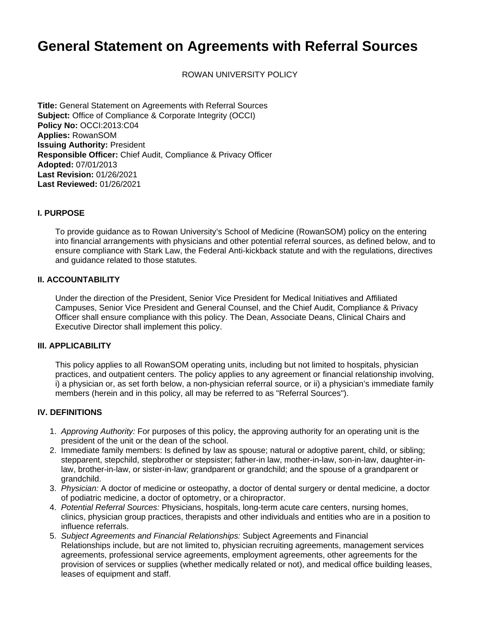# **General Statement on Agreements with Referral Sources**

ROWAN UNIVERSITY POLICY

**Title:** General Statement on Agreements with Referral Sources **Subject:** Office of Compliance & Corporate Integrity (OCCI) **Policy No:** OCCI:2013:C04 **Applies:** RowanSOM **Issuing Authority:** President **Responsible Officer:** Chief Audit, Compliance & Privacy Officer **Adopted:** 07/01/2013 **Last Revision:** 01/26/2021 **Last Reviewed:** 01/26/2021

#### **I. PURPOSE**

To provide guidance as to Rowan University's School of Medicine (RowanSOM) policy on the entering into financial arrangements with physicians and other potential referral sources, as defined below, and to ensure compliance with Stark Law, the Federal Anti-kickback statute and with the regulations, directives and guidance related to those statutes.

#### **II. ACCOUNTABILITY**

Under the direction of the President, Senior Vice President for Medical Initiatives and Affiliated Campuses, Senior Vice President and General Counsel, and the Chief Audit, Compliance & Privacy Officer shall ensure compliance with this policy. The Dean, Associate Deans, Clinical Chairs and Executive Director shall implement this policy.

#### **III. APPLICABILITY**

This policy applies to all RowanSOM operating units, including but not limited to hospitals, physician practices, and outpatient centers. The policy applies to any agreement or financial relationship involving, i) a physician or, as set forth below, a non-physician referral source, or ii) a physician's immediate family members (herein and in this policy, all may be referred to as "Referral Sources").

#### **IV. DEFINITIONS**

- 1. Approving Authority: For purposes of this policy, the approving authority for an operating unit is the president of the unit or the dean of the school.
- 2. Immediate family members: Is defined by law as spouse; natural or adoptive parent, child, or sibling; stepparent, stepchild, stepbrother or stepsister; father-in law, mother-in-law, son-in-law, daughter-inlaw, brother-in-law, or sister-in-law; grandparent or grandchild; and the spouse of a grandparent or grandchild.
- 3. Physician: A doctor of medicine or osteopathy, a doctor of dental surgery or dental medicine, a doctor of podiatric medicine, a doctor of optometry, or a chiropractor.
- 4. Potential Referral Sources: Physicians, hospitals, long-term acute care centers, nursing homes, clinics, physician group practices, therapists and other individuals and entities who are in a position to influence referrals.
- 5. Subject Agreements and Financial Relationships: Subject Agreements and Financial Relationships include, but are not limited to, physician recruiting agreements, management services agreements, professional service agreements, employment agreements, other agreements for the provision of services or supplies (whether medically related or not), and medical office building leases, leases of equipment and staff.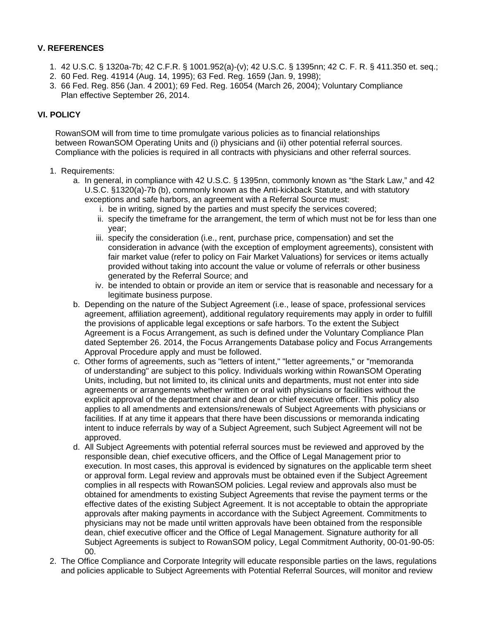### **V. REFERENCES**

- 1. 42 U.S.C. § 1320a-7b; 42 C.F.R. § 1001.952(a)-(v); 42 U.S.C. § 1395nn; 42 C. F. R. § 411.350 et. seq.;
- 2. 60 Fed. Reg. 41914 (Aug. 14, 1995); 63 Fed. Reg. 1659 (Jan. 9, 1998);
- 3. 66 Fed. Reg. 856 (Jan. 4 2001); 69 Fed. Reg. 16054 (March 26, 2004); Voluntary Compliance Plan effective September 26, 2014.

## **VI. POLICY**

RowanSOM will from time to time promulgate various policies as to financial relationships between RowanSOM Operating Units and (i) physicians and (ii) other potential referral sources. Compliance with the policies is required in all contracts with physicians and other referral sources.

- 1. Requirements:
	- a. In general, in compliance with 42 U.S.C. § 1395nn, commonly known as "the Stark Law," and 42 U.S.C. §1320(a)-7b (b), commonly known as the Anti-kickback Statute, and with statutory exceptions and safe harbors, an agreement with a Referral Source must:
		- i. be in writing, signed by the parties and must specify the services covered;
		- ii. specify the timeframe for the arrangement, the term of which must not be for less than one year;
		- iii. specify the consideration (i.e., rent, purchase price, compensation) and set the consideration in advance (with the exception of employment agreements), consistent with fair market value (refer to policy on Fair Market Valuations) for services or items actually provided without taking into account the value or volume of referrals or other business generated by the Referral Source; and
		- iv. be intended to obtain or provide an item or service that is reasonable and necessary for a legitimate business purpose.
	- b. Depending on the nature of the Subject Agreement (i.e., lease of space, professional services agreement, affiliation agreement), additional regulatory requirements may apply in order to fulfill the provisions of applicable legal exceptions or safe harbors. To the extent the Subject Agreement is a Focus Arrangement, as such is defined under the Voluntary Compliance Plan dated September 26. 2014, the Focus Arrangements Database policy and Focus Arrangements Approval Procedure apply and must be followed.
	- c. Other forms of agreements, such as "letters of intent," "letter agreements," or "memoranda of understanding" are subject to this policy. Individuals working within RowanSOM Operating Units, including, but not limited to, its clinical units and departments, must not enter into side agreements or arrangements whether written or oral with physicians or facilities without the explicit approval of the department chair and dean or chief executive officer. This policy also applies to all amendments and extensions/renewals of Subject Agreements with physicians or facilities. If at any time it appears that there have been discussions or memoranda indicating intent to induce referrals by way of a Subject Agreement, such Subject Agreement will not be approved.
	- d. All Subject Agreements with potential referral sources must be reviewed and approved by the responsible dean, chief executive officers, and the Office of Legal Management prior to execution. In most cases, this approval is evidenced by signatures on the applicable term sheet or approval form. Legal review and approvals must be obtained even if the Subject Agreement complies in all respects with RowanSOM policies. Legal review and approvals also must be obtained for amendments to existing Subject Agreements that revise the payment terms or the effective dates of the existing Subject Agreement. It is not acceptable to obtain the appropriate approvals after making payments in accordance with the Subject Agreement. Commitments to physicians may not be made until written approvals have been obtained from the responsible dean, chief executive officer and the Office of Legal Management. Signature authority for all Subject Agreements is subject to RowanSOM policy, Legal Commitment Authority, 00-01-90-05: 00.
- 2. The Office Compliance and Corporate Integrity will educate responsible parties on the laws, regulations and policies applicable to Subject Agreements with Potential Referral Sources, will monitor and review